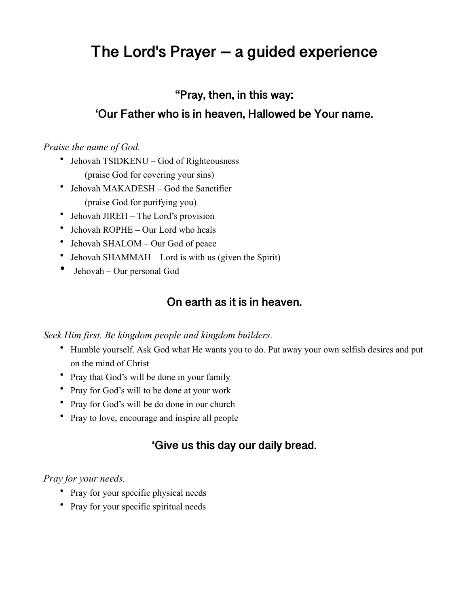# **The Lord's Prayer – a guided experience**

### **"Pray, then, in this way:**

### **'Our Father who is in heaven, Hallowed be Your name.**

#### *Praise the name of God.*

- Jehovah TSIDKENU God of Righteousness (praise God for covering your sins)
- Jehovah MAKADESH God the Sanctifier (praise God for purifying you)
- Jehovah JIREH The Lord's provision
- Jehovah ROPHE Our Lord who heals
- Jehovah SHALOM Our God of peace
- Jehovah SHAMMAH Lord is with us (given the Spirit)
- Jehovah Our personal God

## **On earth as it is in heaven.**

#### *Seek Him first. Be kingdom people and kingdom builders.*

- Humble yourself. Ask God what He wants you to do. Put away your own selfish desires and put on the mind of Christ
- Pray that God's will be done in your family
- Pray for God's will to be done at your work
- Pray for God's will be do done in our church
- Pray to love, encourage and inspire all people

# **'Give us this day our daily bread.**

#### *Pray for your needs.*

- Pray for your specific physical needs
- Pray for your specific spiritual needs